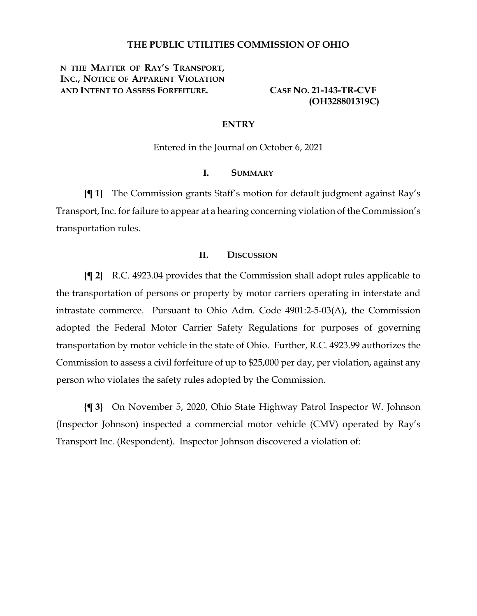#### **THE PUBLIC UTILITIES COMMISSION OF OHIO**

**N THE MATTER OF RAY'S TRANSPORT, INC., NOTICE OF APPARENT VIOLATION AND INTENT TO ASSESS FORFEITURE. CASE NO. 21-143-TR-CVF**

 **(OH328801319C)**

### **ENTRY**

Entered in the Journal on October 6, 2021

## **I. SUMMARY**

**{¶ 1}** The Commission grants Staff's motion for default judgment against Ray's Transport, Inc. for failure to appear at a hearing concerning violation of the Commission's transportation rules.

#### **II. DISCUSSION**

**{¶ 2}** R.C. 4923.04 provides that the Commission shall adopt rules applicable to the transportation of persons or property by motor carriers operating in interstate and intrastate commerce. Pursuant to Ohio Adm. Code 4901:2-5-03(A), the Commission adopted the Federal Motor Carrier Safety Regulations for purposes of governing transportation by motor vehicle in the state of Ohio. Further, R.C. 4923.99 authorizes the Commission to assess a civil forfeiture of up to \$25,000 per day, per violation, against any person who violates the safety rules adopted by the Commission.

**{¶ 3}** On November 5, 2020, Ohio State Highway Patrol Inspector W. Johnson (Inspector Johnson) inspected a commercial motor vehicle (CMV) operated by Ray's Transport Inc. (Respondent). Inspector Johnson discovered a violation of: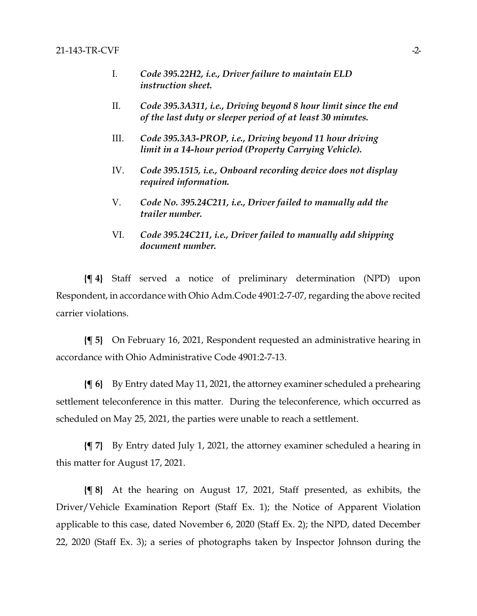- I. *Code 395.22H2, i.e., Driver failure to maintain ELD instruction sheet.*
- II. *Code 395.3A311, i.e., Driving beyond 8 hour limit since the end of the last duty or sleeper period of at least 30 minutes.*
- III. *Code 395.3A3-PROP, i.e., Driving beyond 11 hour driving limit in a 14-hour period (Property Carrying Vehicle).*
- IV. *Code 395.1515, i.e., Onboard recording device does not display required information.*
- V. *Code No. 395.24C211, i.e., Driver failed to manually add the trailer number.*
- VI. *Code 395.24C211, i.e., Driver failed to manually add shipping document number.*

**{¶ 4}** Staff served a notice of preliminary determination (NPD) upon Respondent, in accordance with Ohio Adm.Code 4901:2-7-07, regarding the above recited carrier violations.

**{¶ 5}** On February 16, 2021, Respondent requested an administrative hearing in accordance with Ohio Administrative Code 4901:2-7-13.

**{¶ 6}** By Entry dated May 11, 2021, the attorney examiner scheduled a prehearing settlement teleconference in this matter. During the teleconference, which occurred as scheduled on May 25, 2021, the parties were unable to reach a settlement.

**{¶ 7}** By Entry dated July 1, 2021, the attorney examiner scheduled a hearing in this matter for August 17, 2021.

**{¶ 8}** At the hearing on August 17, 2021, Staff presented, as exhibits, the Driver/Vehicle Examination Report (Staff Ex. 1); the Notice of Apparent Violation applicable to this case, dated November 6, 2020 (Staff Ex. 2); the NPD, dated December 22, 2020 (Staff Ex. 3); a series of photographs taken by Inspector Johnson during the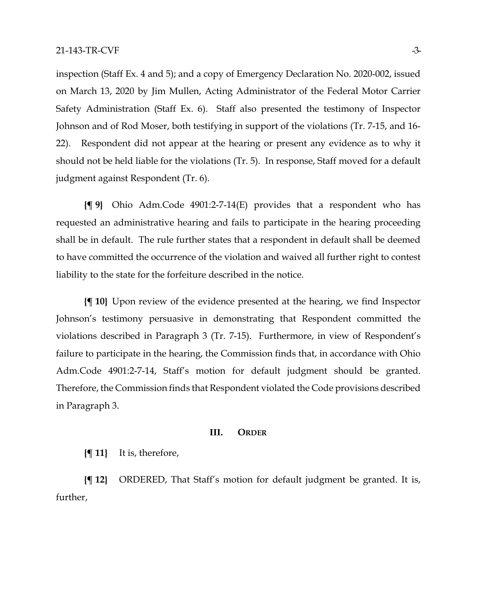inspection (Staff Ex. 4 and 5); and a copy of Emergency Declaration No. 2020-002, issued on March 13, 2020 by Jim Mullen, Acting Administrator of the Federal Motor Carrier Safety Administration (Staff Ex. 6). Staff also presented the testimony of Inspector Johnson and of Rod Moser, both testifying in support of the violations (Tr. 7-15, and 16- 22). Respondent did not appear at the hearing or present any evidence as to why it should not be held liable for the violations (Tr. 5). In response, Staff moved for a default judgment against Respondent (Tr. 6).

**{¶ 9}** Ohio Adm.Code 4901:2-7-14(E) provides that a respondent who has requested an administrative hearing and fails to participate in the hearing proceeding shall be in default. The rule further states that a respondent in default shall be deemed to have committed the occurrence of the violation and waived all further right to contest liability to the state for the forfeiture described in the notice.

**{¶ 10}** Upon review of the evidence presented at the hearing, we find Inspector Johnson's testimony persuasive in demonstrating that Respondent committed the violations described in Paragraph 3 (Tr. 7-15). Furthermore, in view of Respondent's failure to participate in the hearing, the Commission finds that, in accordance with Ohio Adm.Code 4901:2-7-14, Staff's motion for default judgment should be granted. Therefore, the Commission finds that Respondent violated the Code provisions described in Paragraph 3.

#### **III. ORDER**

**{¶ 11}** It is, therefore,

**{¶ 12}** ORDERED, That Staff's motion for default judgment be granted. It is, further,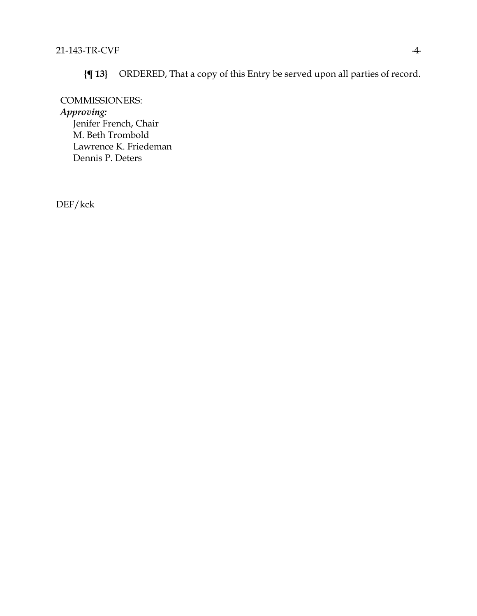**{¶ 13}** ORDERED, That a copy of this Entry be served upon all parties of record.

COMMISSIONERS: *Approving:*  Jenifer French, Chair M. Beth Trombold Lawrence K. Friedeman Dennis P. Deters

DEF/kck